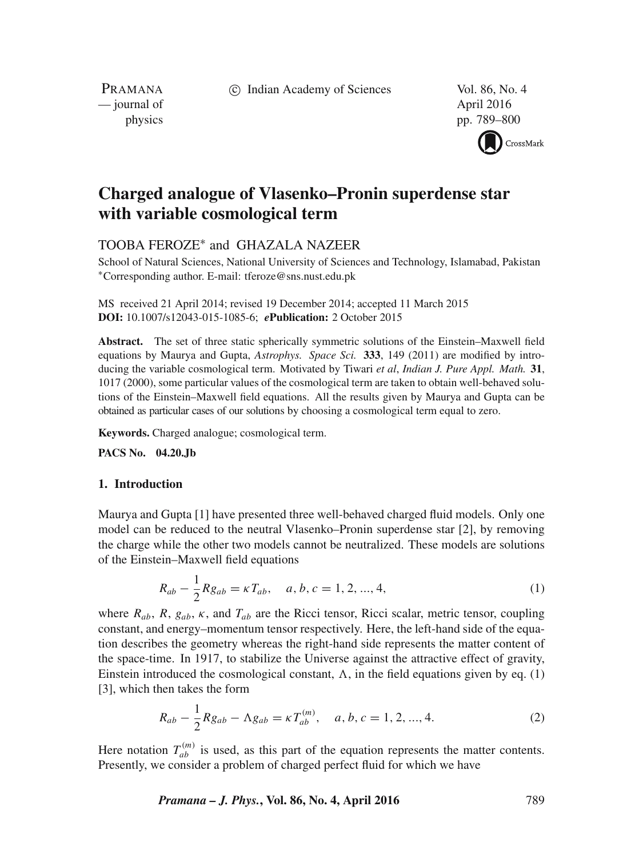c Indian Academy of Sciences Vol. 86, No. 4

PRAMANA — journal of April 2016

physics pp. 789–800



# **Charged analogue of Vlasenko–Pronin superdense star with variable cosmological term**

# TOOBA FEROZE∗ and GHAZALA NAZEER

School of Natural Sciences, National University of Sciences and Technology, Islamabad, Pakistan ∗Corresponding author. E-mail: tferoze@sns.nust.edu.pk

MS received 21 April 2014; revised 19 December 2014; accepted 11 March 2015 **DOI:** 10.1007/s12043-015-1085-6; *e***Publication:** 2 October 2015

**Abstract.** The set of three static spherically symmetric solutions of the Einstein–Maxwell field equations by Maurya and Gupta, *Astrophys. Space Sci.* **333**, 149 (2011) are modified by introducing the variable cosmological term. Motivated by Tiwari *et al*, *Indian J. Pure Appl. Math.* **31**, 1017 (2000), some particular values of the cosmological term are taken to obtain well-behaved solutions of the Einstein–Maxwell field equations. All the results given by Maurya and Gupta can be obtained as particular cases of our solutions by choosing a cosmological term equal to zero.

**Keywords.** Charged analogue; cosmological term.

**PACS No. 04.20.Jb**

## **1. Introduction**

Maurya and Gupta [1] have presented three well-behaved charged fluid models. Only one model can be reduced to the neutral Vlasenko–Pronin superdense star [2], by removing the charge while the other two models cannot be neutralized. These models are solutions of the Einstein–Maxwell field equations

$$
R_{ab} - \frac{1}{2} R g_{ab} = \kappa T_{ab}, \quad a, b, c = 1, 2, ..., 4,
$$
 (1)

where  $R_{ab}$ ,  $R$ ,  $g_{ab}$ ,  $\kappa$ , and  $T_{ab}$  are the Ricci tensor, Ricci scalar, metric tensor, coupling constant, and energy–momentum tensor respectively. Here, the left-hand side of the equation describes the geometry whereas the right-hand side represents the matter content of the space-time. In 1917, to stabilize the Universe against the attractive effect of gravity, Einstein introduced the cosmological constant,  $\Lambda$ , in the field equations given by eq. (1) [3], which then takes the form

$$
R_{ab} - \frac{1}{2}Rg_{ab} - \Lambda g_{ab} = \kappa T_{ab}^{(m)}, \quad a, b, c = 1, 2, ..., 4.
$$
 (2)

Here notation  $T_{ab}^{(m)}$  is used, as this part of the equation represents the matter contents. Presently, we consider a problem of charged perfect fluid for which we have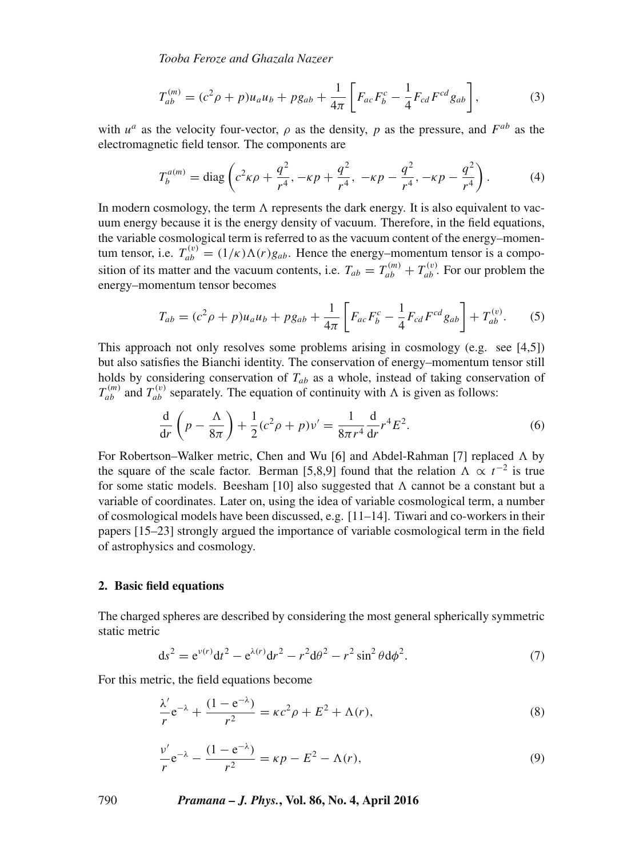*Tooba Feroze and Ghazala Nazeer*

$$
T_{ab}^{(m)} = (c^2 \rho + p)u_a u_b + p g_{ab} + \frac{1}{4\pi} \left[ F_{ac} F_b^c - \frac{1}{4} F_{cd} F^{cd} g_{ab} \right],
$$
 (3)

with  $u^a$  as the velocity four-vector,  $\rho$  as the density, p as the pressure, and  $F^{ab}$  as the electromagnetic field tensor. The components are

$$
T_b^{a(m)} = \text{diag}\left(c^2\kappa\rho + \frac{q^2}{r^4}, -\kappa p + \frac{q^2}{r^4}, -\kappa p - \frac{q^2}{r^4}, -\kappa p - \frac{q^2}{r^4}\right). \tag{4}
$$

In modern cosmology, the term  $\Lambda$  represents the dark energy. It is also equivalent to vacuum energy because it is the energy density of vacuum. Therefore, in the field equations, the variable cosmological term is referred to as the vacuum content of the energy–momentum tensor, i.e.  $T_{ab}^{(v)} = (1/\kappa) \Lambda(r) g_{ab}$ . Hence the energy–momentum tensor is a composition of its matter and the vacuum contents, i.e.  $T_{ab} = T_{ab}^{(m)} + T_{ab}^{(v)}$ . For our problem the energy–momentum tensor becomes

$$
T_{ab} = (c^2 \rho + p)u_a u_b + p g_{ab} + \frac{1}{4\pi} \left[ F_{ac} F_b^c - \frac{1}{4} F_{cd} F^{cd} g_{ab} \right] + T_{ab}^{(v)}.
$$
 (5)

This approach not only resolves some problems arising in cosmology (e.g. see [4,5]) but also satisfies the Bianchi identity. The conservation of energy–momentum tensor still holds by considering conservation of  $T_{ab}$  as a whole, instead of taking conservation of  $T_{ab}^{(m)}$  and  $T_{ab}^{(v)}$  separately. The equation of continuity with  $\Lambda$  is given as follows:

$$
\frac{d}{dr}\left(p - \frac{\Lambda}{8\pi}\right) + \frac{1}{2}(c^2\rho + p)\nu' = \frac{1}{8\pi r^4}\frac{d}{dr}r^4E^2.
$$
\n(6)

For Robertson–Walker metric, Chen and Wu [6] and Abdel-Rahman [7] replaced  $\Lambda$  by the square of the scale factor. Berman [5,8,9] found that the relation  $\Lambda \propto t^{-2}$  is true for some static models. Beesham [10] also suggested that  $\Lambda$  cannot be a constant but a variable of coordinates. Later on, using the idea of variable cosmological term, a number of cosmological models have been discussed, e.g. [11–14]. Tiwari and co-workers in their papers [15–23] strongly argued the importance of variable cosmological term in the field of astrophysics and cosmology.

#### **2. Basic field equations**

The charged spheres are described by considering the most general spherically symmetric static metric

$$
ds^{2} = e^{\nu(r)}dt^{2} - e^{\lambda(r)}dr^{2} - r^{2}d\theta^{2} - r^{2}\sin^{2}\theta d\phi^{2}.
$$
 (7)

For this metric, the field equations become

$$
\frac{\lambda'}{r}e^{-\lambda} + \frac{(1 - e^{-\lambda})}{r^2} = \kappa c^2 \rho + E^2 + \Lambda(r),\tag{8}
$$

$$
\frac{v'}{r}e^{-\lambda} - \frac{(1 - e^{-\lambda})}{r^2} = \kappa p - E^2 - \Lambda(r),\tag{9}
$$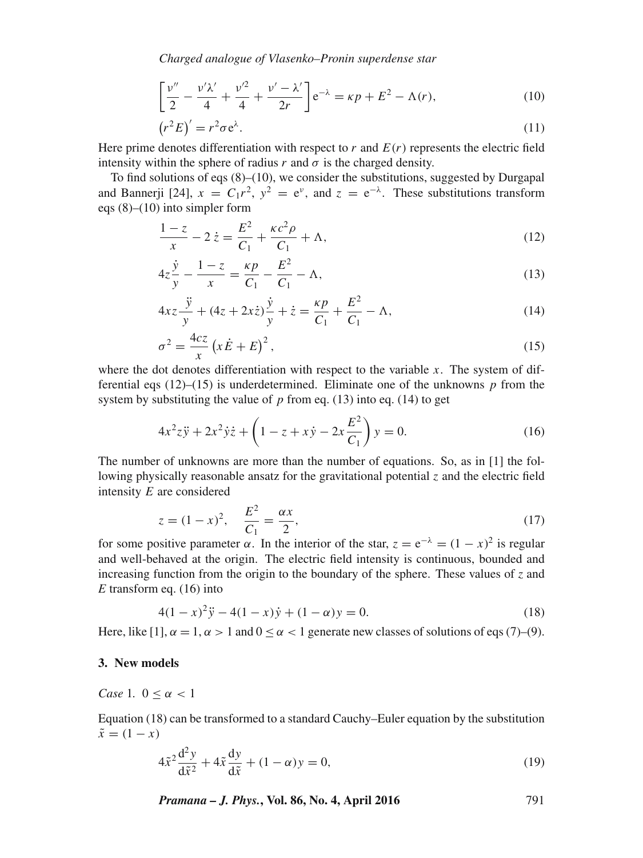*Charged analogue of Vlasenko–Pronin superdense star*

$$
\left[\frac{v''}{2} - \frac{v'\lambda'}{4} + \frac{v'^2}{4} + \frac{v' - \lambda'}{2r}\right] e^{-\lambda} = \kappa p + E^2 - \Lambda(r),\tag{10}
$$

$$
(r^2E)' = r^2 \sigma e^{\lambda}.
$$
 (11)

Here prime denotes differentiation with respect to r and  $E(r)$  represents the electric field intensity within the sphere of radius r and  $\sigma$  is the charged density.

To find solutions of eqs  $(8)$ – $(10)$ , we consider the substitutions, suggested by Durgapal and Bannerji [24],  $x = C_1 r^2$ ,  $y^2 = e^y$ , and  $z = e^{-\lambda}$ . These substitutions transform eqs  $(8)$ – $(10)$  into simpler form

$$
\frac{1-z}{x} - 2\dot{z} = \frac{E^2}{C_1} + \frac{\kappa c^2 \rho}{C_1} + \Lambda,\tag{12}
$$

$$
4z\frac{\dot{y}}{y} - \frac{1-z}{x} = \frac{\kappa p}{C_1} - \frac{E^2}{C_1} - \Lambda,\tag{13}
$$

$$
4xz\frac{\ddot{y}}{y} + (4z + 2xz)\frac{\dot{y}}{y} + \dot{z} = \frac{\kappa p}{C_1} + \frac{E^2}{C_1} - \Lambda,
$$
\n(14)

$$
\sigma^2 = \frac{4cz}{x} \left( x \dot{E} + E \right)^2,\tag{15}
$$

where the dot denotes differentiation with respect to the variable  $x$ . The system of differential eqs  $(12)$ – $(15)$  is underdetermined. Eliminate one of the unknowns p from the system by substituting the value of  $p$  from eq. (13) into eq. (14) to get

$$
4x^{2}z\ddot{y} + 2x^{2}\dot{y}\dot{z} + \left(1 - z + x\dot{y} - 2x\frac{E^{2}}{C_{1}}\right)y = 0.
$$
 (16)

The number of unknowns are more than the number of equations. So, as in [1] the following physically reasonable ansatz for the gravitational potential  $\zeta$  and the electric field intensity E are considered

$$
z = (1 - x)^2, \quad \frac{E^2}{C_1} = \frac{\alpha x}{2}, \tag{17}
$$

for some positive parameter  $\alpha$ . In the interior of the star,  $z = e^{-\lambda} = (1 - x)^2$  is regular and well-behaved at the origin. The electric field intensity is continuous, bounded and increasing function from the origin to the boundary of the sphere. These values of *z* and *E* transform eq. (16) into

$$
4(1-x)^2\ddot{y} - 4(1-x)\dot{y} + (1-\alpha)y = 0.
$$
 (18)

Here, like  $[1]$ ,  $\alpha = 1$ ,  $\alpha > 1$  and  $0 < \alpha < 1$  generate new classes of solutions of eqs (7)–(9).

#### **3. New models**

*Case* 1*.*  $0 \leq \alpha < 1$ 

Equation (18) can be transformed to a standard Cauchy–Euler equation by the substitution  $\tilde{x} = (1 - x)$ 

$$
4\tilde{x}^2 \frac{d^2 y}{d\tilde{x}^2} + 4\tilde{x} \frac{dy}{d\tilde{x}} + (1 - \alpha)y = 0,
$$
\n(19)

*Pramana – J. Phys.***, Vol. 86, No. 4, April 2016** 791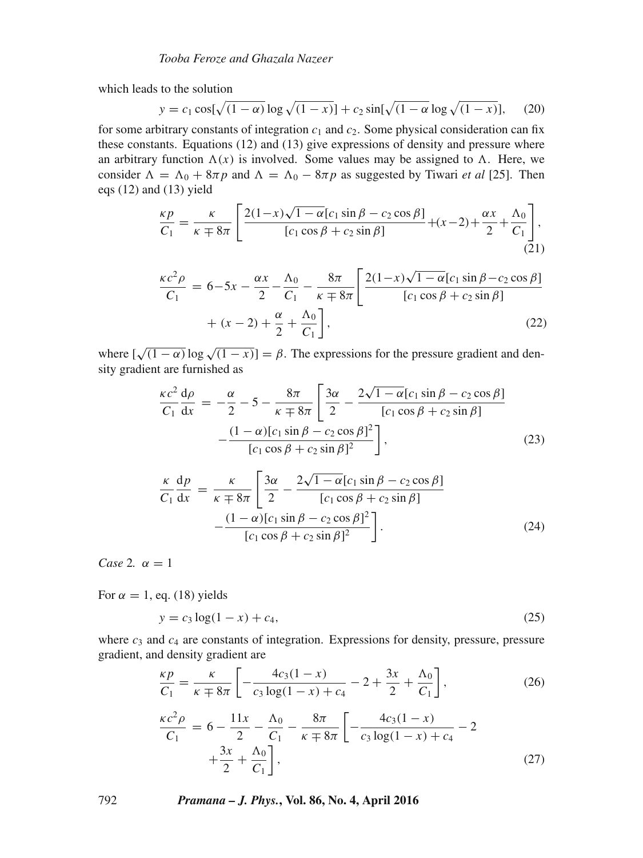which leads to the solution

$$
y = c_1 \cos[\sqrt{(1-\alpha)} \log \sqrt{(1-x)}] + c_2 \sin[\sqrt{(1-\alpha)} \log \sqrt{(1-x)}],
$$
 (20)

for some arbitrary constants of integration  $c_1$  and  $c_2$ . Some physical consideration can fix these constants. Equations (12) and (13) give expressions of density and pressure where an arbitrary function  $\Lambda(x)$  is involved. Some values may be assigned to  $\Lambda$ . Here, we consider  $\Lambda = \Lambda_0 + 8\pi p$  and  $\Lambda = \Lambda_0 - 8\pi p$  as suggested by Tiwari *et al* [25]. Then eqs (12) and (13) yield

$$
\frac{\kappa p}{C_1} = \frac{\kappa}{\kappa \mp 8\pi} \left[ \frac{2(1-x)\sqrt{1-\alpha}[c_1\sin\beta - c_2\cos\beta]}{[c_1\cos\beta + c_2\sin\beta]} + (x-2) + \frac{\alpha x}{2} + \frac{\Lambda_0}{C_1} \right],\tag{21}
$$

$$
\frac{\kappa c^2 \rho}{C_1} = 6 - 5x - \frac{\alpha x}{2} - \frac{\Lambda_0}{C_1} - \frac{8\pi}{\kappa \mp 8\pi} \left[ \frac{2(1 - x)\sqrt{1 - \alpha} [c_1 \sin \beta - c_2 \cos \beta]}{[c_1 \cos \beta + c_2 \sin \beta]} + (x - 2) + \frac{\alpha}{2} + \frac{\Lambda_0}{C_1} \right],
$$
\n(22)

where  $\lfloor \sqrt{(1-\alpha)} \log \sqrt{(1-x)} \rfloor = \beta$ . The expressions for the pressure gradient and density gradient are furnished as

$$
\frac{\kappa c^2}{C_1} \frac{d\rho}{dx} = -\frac{\alpha}{2} - 5 - \frac{8\pi}{\kappa + 8\pi} \left[ \frac{3\alpha}{2} - \frac{2\sqrt{1 - \alpha} [c_1 \sin \beta - c_2 \cos \beta]}{[c_1 \cos \beta + c_2 \sin \beta]} - \frac{(1 - \alpha) [c_1 \sin \beta - c_2 \cos \beta]^2}{[c_1 \cos \beta + c_2 \sin \beta]^2} \right],
$$
(23)

$$
\frac{\kappa}{C_1} \frac{dp}{dx} = \frac{\kappa}{\kappa \mp 8\pi} \left[ \frac{3\alpha}{2} - \frac{2\sqrt{1 - \alpha} [c_1 \sin \beta - c_2 \cos \beta]}{[c_1 \cos \beta + c_2 \sin \beta]} - \frac{(1 - \alpha) [c_1 \sin \beta - c_2 \cos \beta]^2}{[c_1 \cos \beta + c_2 \sin \beta]^2} \right].
$$
\n(24)

*Case* 2*.*  $\alpha = 1$ 

For  $\alpha = 1$ , eq. (18) yields

$$
y = c_3 \log(1 - x) + c_4,\tag{25}
$$

where  $c_3$  and  $c_4$  are constants of integration. Expressions for density, pressure, pressure gradient, and density gradient are

$$
\frac{\kappa p}{C_1} = \frac{\kappa}{\kappa \mp 8\pi} \left[ -\frac{4c_3(1-x)}{c_3 \log(1-x) + c_4} - 2 + \frac{3x}{2} + \frac{\Lambda_0}{C_1} \right],\tag{26}
$$

$$
\frac{\kappa c^2 \rho}{C_1} = 6 - \frac{11x}{2} - \frac{\Lambda_0}{C_1} - \frac{8\pi}{\kappa \mp 8\pi} \left[ -\frac{4c_3(1-x)}{c_3 \log(1-x) + c_4} - 2 + \frac{3x}{2} + \frac{\Lambda_0}{C_1} \right],\tag{27}
$$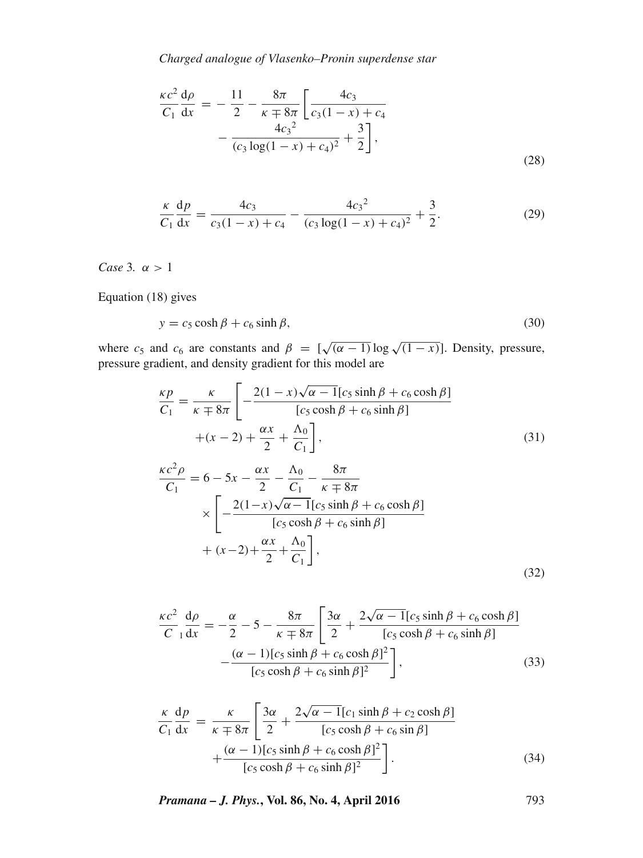*Charged analogue of Vlasenko–Pronin superdense star*

$$
\frac{\kappa c^2}{C_1} \frac{d\rho}{dx} = -\frac{11}{2} - \frac{8\pi}{\kappa \mp 8\pi} \left[ \frac{4c_3}{c_3(1-x) + c_4} - \frac{4c_3^2}{(c_3 \log(1-x) + c_4)^2} + \frac{3}{2} \right],
$$
\n(28)

$$
\frac{\kappa}{C_1} \frac{dp}{dx} = \frac{4c_3}{c_3(1-x) + c_4} - \frac{4c_3^2}{(c_3 \log(1-x) + c_4)^2} + \frac{3}{2}.
$$
 (29)

*Case* 3*.*  $\alpha > 1$ 

Equation (18) gives

$$
y = c_5 \cosh \beta + c_6 \sinh \beta, \tag{30}
$$

where  $c_5$  and  $c_6$  are constants and  $\beta = [\sqrt{(\alpha - 1)} \log \sqrt{1 - x}]$ . Density, pressure, pressure gradient, and density gradient for this model are

$$
\frac{\kappa p}{C_1} = \frac{\kappa}{\kappa + 8\pi} \left[ -\frac{2(1 - x)\sqrt{\alpha - 1}[c_5 \sinh \beta + c_6 \cosh \beta]}{[c_5 \cosh \beta + c_6 \sinh \beta]} + (x - 2) + \frac{\alpha x}{2} + \frac{\Lambda_0}{C_1} \right],
$$
\n(31)

$$
\frac{\kappa c^2 \rho}{C_1} = 6 - 5x - \frac{\alpha x}{2} - \frac{\Lambda_0}{C_1} - \frac{8\pi}{\kappa \mp 8\pi} \times \left[ -\frac{2(1-x)\sqrt{\alpha - 1}[c_5 \sinh \beta + c_6 \cosh \beta]}{[c_5 \cosh \beta + c_6 \sinh \beta]} + (x-2) + \frac{\alpha x}{2} + \frac{\Lambda_0}{C_1} \right],
$$
\n(32)

$$
\frac{\kappa c^2}{C_1 \, dx} = -\frac{\alpha}{2} - 5 - \frac{8\pi}{\kappa + 8\pi} \left[ \frac{3\alpha}{2} + \frac{2\sqrt{\alpha - 1} [c_5 \sinh \beta + c_6 \cosh \beta]}{[c_5 \cosh \beta + c_6 \sinh \beta]} - \frac{(\alpha - 1) [c_5 \sinh \beta + c_6 \cosh \beta]^2}{[c_5 \cosh \beta + c_6 \sinh \beta]^2} \right],
$$
\n(33)

$$
\frac{\kappa}{C_1} \frac{dp}{dx} = \frac{\kappa}{\kappa \mp 8\pi} \left[ \frac{3\alpha}{2} + \frac{2\sqrt{\alpha - 1} [c_1 \sinh \beta + c_2 \cosh \beta]}{[c_5 \cosh \beta + c_6 \sin \beta]} + \frac{(\alpha - 1) [c_5 \sinh \beta + c_6 \cosh \beta]^2}{[c_5 \cosh \beta + c_6 \sinh \beta]^2} \right].
$$
\n(34)

*Pramana – J. Phys.***, Vol. 86, No. 4, April 2016** 793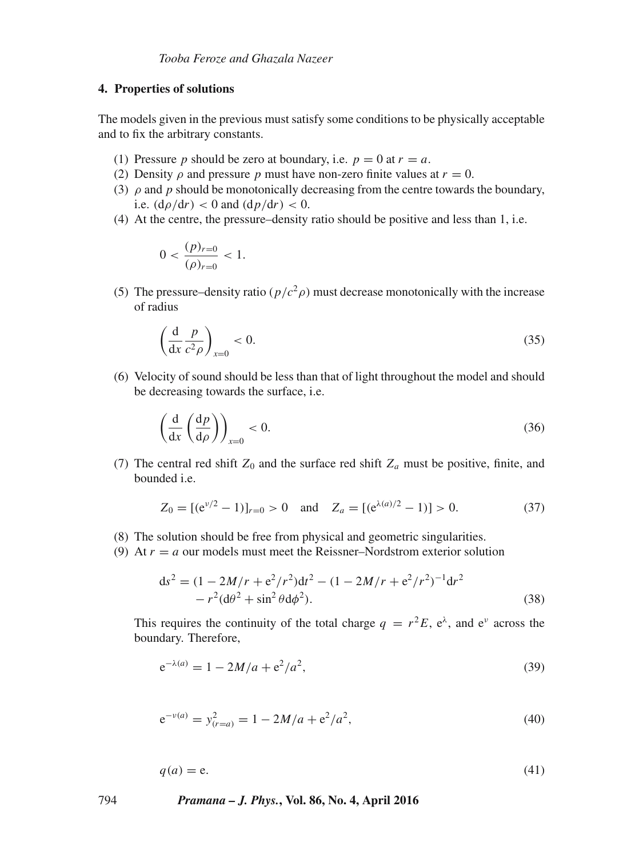# **4. Properties of solutions**

The models given in the previous must satisfy some conditions to be physically acceptable and to fix the arbitrary constants.

- (1) Pressure p should be zero at boundary, i.e.  $p = 0$  at  $r = a$ .
- (2) Density  $\rho$  and pressure p must have non-zero finite values at  $r = 0$ .
- (3)  $\rho$  and  $p$  should be monotonically decreasing from the centre towards the boundary, i.e.  $(d\rho/dr) < 0$  and  $(dp/dr) < 0$ .
- (4) At the centre, the pressure–density ratio should be positive and less than 1, i.e.

$$
0 < \frac{(p)_{r=0}}{(\rho)_{r=0}} < 1.
$$

(5) The pressure–density ratio ( $p/c^2\rho$ ) must decrease monotonically with the increase of radius

$$
\left(\frac{\mathrm{d}}{\mathrm{d}x}\frac{p}{c^2\rho}\right)_{x=0} < 0.\tag{35}
$$

(6) Velocity of sound should be less than that of light throughout the model and should be decreasing towards the surface, i.e.

$$
\left(\frac{\mathrm{d}}{\mathrm{d}x}\left(\frac{\mathrm{d}p}{\mathrm{d}\rho}\right)\right)_{x=0} < 0. \tag{36}
$$

(7) The central red shift  $Z_0$  and the surface red shift  $Z_a$  must be positive, finite, and bounded i.e.

$$
Z_0 = [ (e^{\nu/2} - 1) ]_{r=0} > 0 \quad \text{and} \quad Z_a = [ (e^{\lambda(a)/2} - 1) ] > 0. \tag{37}
$$

- (8) The solution should be free from physical and geometric singularities.
- (9) At  $r = a$  our models must meet the Reissner–Nordstrom exterior solution

$$
ds^{2} = (1 - 2M/r + e^{2}/r^{2})dt^{2} - (1 - 2M/r + e^{2}/r^{2})^{-1}dr^{2}
$$
  
- r<sup>2</sup>(d $\theta$ <sup>2</sup> + sin<sup>2</sup>  $\theta$ d $\phi$ <sup>2</sup>). (38)

This requires the continuity of the total charge  $q = r^2 E$ ,  $e^{\lambda}$ , and  $e^{\nu}$  across the boundary. Therefore,

$$
e^{-\lambda(a)} = 1 - 2M/a + e^2/a^2,
$$
\n(39)

$$
e^{-\nu(a)} = y_{(r=a)}^2 = 1 - 2M/a + e^2/a^2,
$$
\n(40)

$$
q(a) = e.\t\t(41)
$$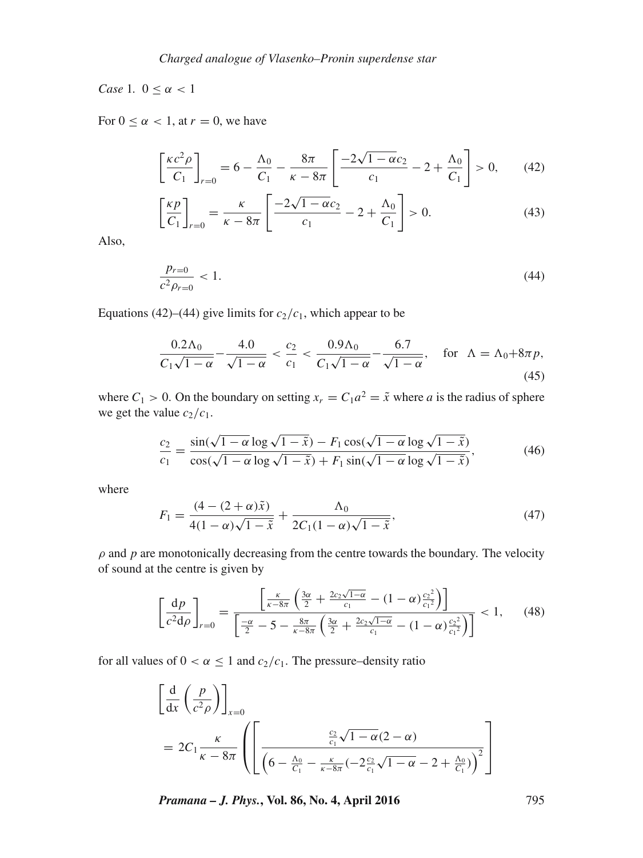*Case* 1*.*  $0 < \alpha < 1$ 

For  $0 \leq \alpha \leq 1$ , at  $r = 0$ , we have

$$
\left[\frac{\kappa c^2 \rho}{C_1}\right]_{r=0} = 6 - \frac{\Lambda_0}{C_1} - \frac{8\pi}{\kappa - 8\pi} \left[\frac{-2\sqrt{1 - \alpha c_2}}{c_1} - 2 + \frac{\Lambda_0}{C_1}\right] > 0, \qquad (42)
$$

$$
\left[\frac{\kappa p}{C_1}\right]_{r=0} = \frac{\kappa}{\kappa - 8\pi} \left[\frac{-2\sqrt{1 - \alpha}c_2}{c_1} - 2 + \frac{\Lambda_0}{C_1}\right] > 0.
$$
 (43)

Also,

$$
\frac{p_{r=0}}{c^2 \rho_{r=0}} < 1. \tag{44}
$$

Equations (42)–(44) give limits for  $c_2/c_1$ , which appear to be

$$
\frac{0.2\Lambda_0}{C_1\sqrt{1-\alpha}} - \frac{4.0}{\sqrt{1-\alpha}} < \frac{c_2}{c_1} < \frac{0.9\Lambda_0}{C_1\sqrt{1-\alpha}} - \frac{6.7}{\sqrt{1-\alpha}}, \quad \text{for } \Lambda = \Lambda_0 + 8\pi p,\tag{45}
$$

where  $C_1 > 0$ . On the boundary on setting  $x_r = C_1 a^2 = \tilde{x}$  where a is the radius of sphere we get the value  $c_2/c_1$ .

$$
\frac{c_2}{c_1} = \frac{\sin(\sqrt{1-\alpha}\log\sqrt{1-\tilde{x}}) - F_1\cos(\sqrt{1-\alpha}\log\sqrt{1-\tilde{x}})}{\cos(\sqrt{1-\alpha}\log\sqrt{1-\tilde{x}}) + F_1\sin(\sqrt{1-\alpha}\log\sqrt{1-\tilde{x}})},\tag{46}
$$

where

$$
F_1 = \frac{(4 - (2 + \alpha)\tilde{x})}{4(1 - \alpha)\sqrt{1 - \tilde{x}}} + \frac{\Lambda_0}{2C_1(1 - \alpha)\sqrt{1 - \tilde{x}}},\tag{47}
$$

 $\rho$  and  $p$  are monotonically decreasing from the centre towards the boundary. The velocity of sound at the centre is given by

$$
\left[\frac{dp}{c^2d\rho}\right]_{r=0} = \frac{\left[\frac{\kappa}{\kappa - 8\pi} \left(\frac{3\alpha}{2} + \frac{2c_2\sqrt{1-\alpha}}{c_1} - (1-\alpha)\frac{c_2^2}{c_1^2}\right)\right]}{\left[\frac{-\alpha}{2} - 5 - \frac{8\pi}{\kappa - 8\pi} \left(\frac{3\alpha}{2} + \frac{2c_2\sqrt{1-\alpha}}{c_1} - (1-\alpha)\frac{c_2^2}{c_1^2}\right)\right]} < 1, \quad (48)
$$

for all values of  $0 < \alpha \le 1$  and  $c_2/c_1$ . The pressure–density ratio

$$
\begin{aligned}\n\left[\frac{\mathrm{d}}{\mathrm{d}x}\left(\frac{p}{c^2\rho}\right)\right]_{x=0} \\
= 2C_1 \frac{\kappa}{\kappa - 8\pi} \left( \left[\frac{\frac{c_2}{c_1}\sqrt{1-\alpha(2-\alpha)}}{\left(6 - \frac{\Lambda_0}{C_1} - \frac{\kappa}{\kappa - 8\pi}(-2\frac{c_2}{c_1}\sqrt{1-\alpha} - 2 + \frac{\Lambda_0}{C_1})\right)^2} \right]\n\end{aligned}
$$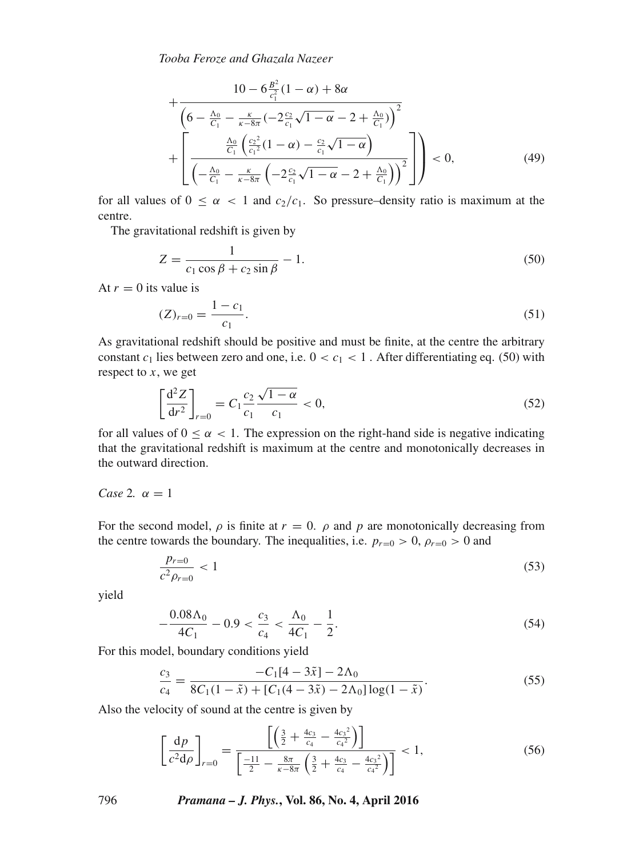*Tooba Feroze and Ghazala Nazeer*

$$
+\frac{10 - 6\frac{B^2}{c_1^2}(1-\alpha) + 8\alpha}{\left(6 - \frac{\Lambda_0}{C_1} - \frac{\kappa}{\kappa - 8\pi}(-2\frac{c_2}{c_1}\sqrt{1-\alpha} - 2 + \frac{\Lambda_0}{C_1})\right)^2} + \left[\frac{\frac{\Lambda_0}{C_1}\left(\frac{c_2^2}{c_1^2}(1-\alpha) - \frac{c_2}{c_1}\sqrt{1-\alpha}\right)}{\left(-\frac{\Lambda_0}{C_1} - \frac{\kappa}{\kappa - 8\pi}\left(-2\frac{c_2}{c_1}\sqrt{1-\alpha} - 2 + \frac{\Lambda_0}{C_1}\right)\right)^2}\right] \bigg) < 0,
$$
\n(49)

for all values of  $0 \le \alpha < 1$  and  $c_2/c_1$ . So pressure–density ratio is maximum at the centre.

The gravitational redshift is given by

$$
Z = \frac{1}{c_1 \cos \beta + c_2 \sin \beta} - 1.
$$
\n
$$
(50)
$$

At  $r = 0$  its value is

$$
(Z)_{r=0} = \frac{1 - c_1}{c_1}.
$$
\n(51)

As gravitational redshift should be positive and must be finite, at the centre the arbitrary constant  $c_1$  lies between zero and one, i.e.  $0 < c_1 < 1$ . After differentiating eq. (50) with respect to  $x$ , we get

$$
\left[\frac{d^2 Z}{dr^2}\right]_{r=0} = C_1 \frac{c_2}{c_1} \frac{\sqrt{1-\alpha}}{c_1} < 0,\tag{52}
$$

for all values of  $0 \le \alpha < 1$ . The expression on the right-hand side is negative indicating that the gravitational redshift is maximum at the centre and monotonically decreases in the outward direction.

#### *Case* 2*.*  $\alpha = 1$

For the second model,  $\rho$  is finite at  $r = 0$ .  $\rho$  and p are monotonically decreasing from the centre towards the boundary. The inequalities, i.e.  $p_{r=0} > 0$ ,  $\rho_{r=0} > 0$  and

$$
\frac{p_{r=0}}{c^2 \rho_{r=0}} < 1\tag{53}
$$

yield

$$
-\frac{0.08\Lambda_0}{4C_1} - 0.9 < \frac{c_3}{c_4} < \frac{\Lambda_0}{4C_1} - \frac{1}{2}.\tag{54}
$$

For this model, boundary conditions yield

$$
\frac{c_3}{c_4} = \frac{-C_1[4 - 3\tilde{x}] - 2\Lambda_0}{8C_1(1 - \tilde{x}) + [C_1(4 - 3\tilde{x}) - 2\Lambda_0] \log(1 - \tilde{x})}.
$$
\n(55)

Also the velocity of sound at the centre is given by

$$
\left[\frac{\mathrm{d}p}{c^2 \mathrm{d}\rho}\right]_{r=0} = \frac{\left[\left(\frac{3}{2} + \frac{4c_3}{c_4} - \frac{4c_3^2}{c_4^2}\right)\right]}{\left[\frac{-11}{2} - \frac{8\pi}{\kappa - 8\pi}\left(\frac{3}{2} + \frac{4c_3}{c_4} - \frac{4c_3^2}{c_4^2}\right)\right]} < 1,\tag{56}
$$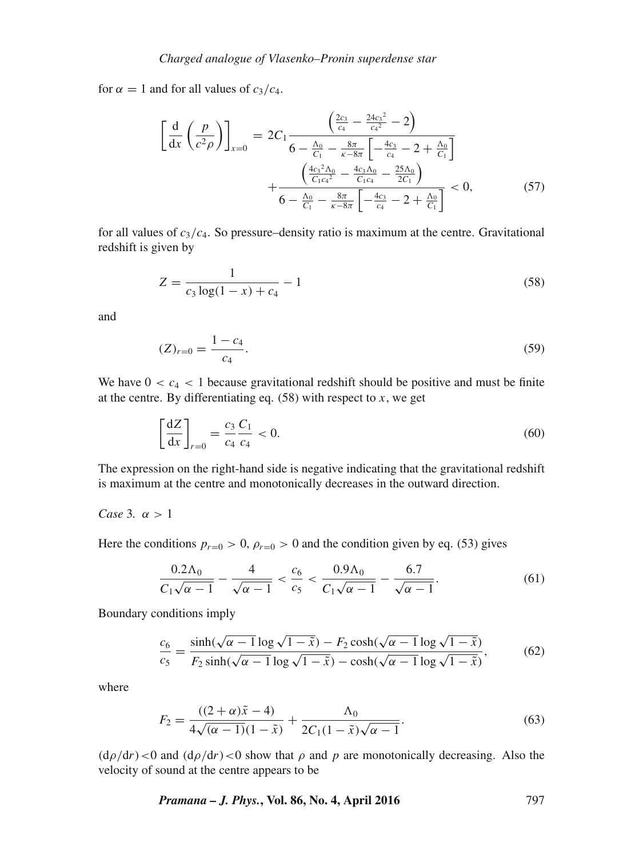for  $\alpha = 1$  and for all values of  $c_3/c_4$ .

$$
\left[\frac{d}{dx}\left(\frac{p}{c^2\rho}\right)\right]_{x=0} = 2C_1 \frac{\left(\frac{2c_3}{c_4} - \frac{24c_3^2}{c_4^2} - 2\right)}{6 - \frac{\Delta_0}{C_1} - \frac{8\pi}{\kappa - 8\pi} \left[-\frac{4c_3}{c_4} - 2 + \frac{\Delta_0}{C_1}\right]} + \frac{\left(\frac{4c_3^2\Delta_0}{C_1c_4^2} - \frac{4c_3\Delta_0}{C_1c_4} - \frac{25\Delta_0}{2C_1}\right)}{6 - \frac{\Delta_0}{C_1} - \frac{8\pi}{\kappa - 8\pi} \left[-\frac{4c_3}{c_4} - 2 + \frac{\Delta_0}{C_1}\right]} < 0,
$$
\n(57)

for all values of  $c_3/c_4$ . So pressure–density ratio is maximum at the centre. Gravitational redshift is given by

$$
Z = \frac{1}{c_3 \log(1 - x) + c_4} - 1\tag{58}
$$

and

$$
(Z)_{r=0} = \frac{1 - c_4}{c_4}.\tag{59}
$$

We have  $0 < c_4 < 1$  because gravitational redshift should be positive and must be finite at the centre. By differentiating eq.  $(58)$  with respect to x, we get

$$
\left[\frac{\mathrm{d}Z}{\mathrm{d}x}\right]_{r=0} = \frac{c_3}{c_4} \frac{C_1}{c_4} < 0. \tag{60}
$$

The expression on the right-hand side is negative indicating that the gravitational redshift is maximum at the centre and monotonically decreases in the outward direction.

## *Case* 3*.*  $\alpha > 1$

Here the conditions  $p_{r=0} > 0$ ,  $\rho_{r=0} > 0$  and the condition given by eq. (53) gives

$$
\frac{0.2\Lambda_0}{C_1\sqrt{\alpha - 1}} - \frac{4}{\sqrt{\alpha - 1}} < \frac{c_6}{c_5} < \frac{0.9\Lambda_0}{C_1\sqrt{\alpha - 1}} - \frac{6.7}{\sqrt{\alpha - 1}}.\tag{61}
$$

Boundary conditions imply

$$
\frac{c_6}{c_5} = \frac{\sinh(\sqrt{\alpha - 1}\log\sqrt{1 - \tilde{x}}) - F_2\cosh(\sqrt{\alpha - 1}\log\sqrt{1 - \tilde{x}})}{F_2\sinh(\sqrt{\alpha - 1}\log\sqrt{1 - \tilde{x}}) - \cosh(\sqrt{\alpha - 1}\log\sqrt{1 - \tilde{x}})},\tag{62}
$$

where

$$
F_2 = \frac{((2+\alpha)\tilde{x} - 4)}{4\sqrt{(\alpha - 1)}(1 - \tilde{x})} + \frac{\Lambda_0}{2C_1(1 - \tilde{x})\sqrt{\alpha - 1}}.
$$
\n(63)

 $(d\rho/dr)$  < 0 and  $(d\rho/dr)$  < 0 show that  $\rho$  and  $p$  are monotonically decreasing. Also the velocity of sound at the centre appears to be

*Pramana – J. Phys.***, Vol. 86, No. 4, April 2016** 797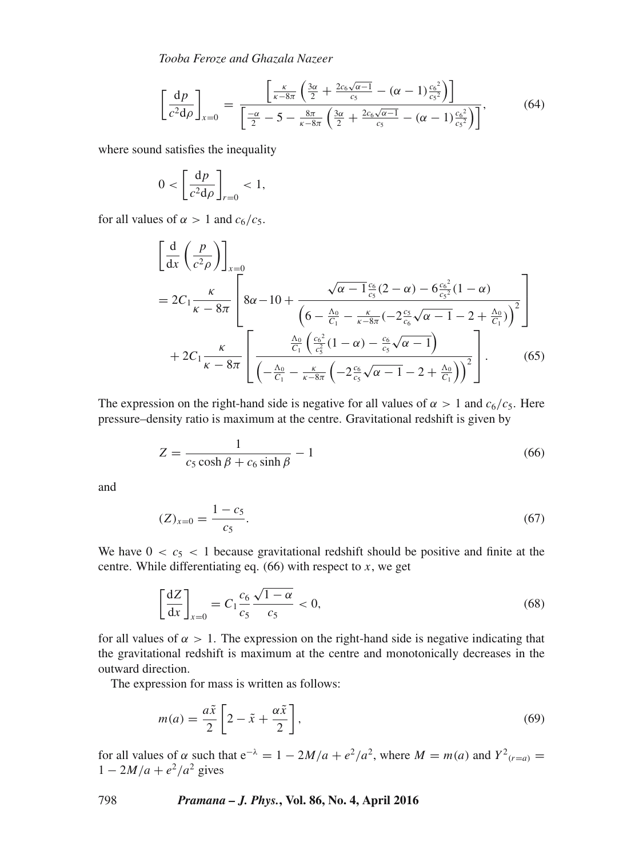*Tooba Feroze and Ghazala Nazeer*

$$
\left[\frac{dp}{c^2d\rho}\right]_{x=0} = \frac{\left[\frac{\kappa}{\kappa - 8\pi} \left(\frac{3\alpha}{2} + \frac{2c_6\sqrt{\alpha - 1}}{c_5} - (\alpha - 1)\frac{c_6^2}{c_5^2}\right)\right]}{\left[\frac{-\alpha}{2} - 5 - \frac{8\pi}{\kappa - 8\pi} \left(\frac{3\alpha}{2} + \frac{2c_6\sqrt{\alpha - 1}}{c_5} - (\alpha - 1)\frac{c_6^2}{c_5^2}\right)\right]},\tag{64}
$$

where sound satisfies the inequality

$$
0 < \left[\frac{\mathrm{d}p}{c^2 \mathrm{d}\rho}\right]_{r=0} < 1,
$$

for all values of  $\alpha > 1$  and  $c_6/c_5$ .

$$
\begin{aligned}\n&\left[\frac{\mathrm{d}}{\mathrm{d}x}\left(\frac{p}{c^2\rho}\right)\right]_{x=0} \\
&= 2C_1 \frac{\kappa}{\kappa - 8\pi} \left[8\alpha - 10 + \frac{\sqrt{\alpha - 1}\frac{c_6}{c_5}(2 - \alpha) - 6\frac{c_6^2}{c_5^2}(1 - \alpha)}{\left(6 - \frac{\Lambda_0}{C_1} - \frac{\kappa}{\kappa - 8\pi}(-2\frac{c_5}{c_6}\sqrt{\alpha - 1} - 2 + \frac{\Lambda_0}{C_1})\right)^2}\right] \\
&+ 2C_1 \frac{\kappa}{\kappa - 8\pi} \left[\frac{\frac{\Lambda_0}{c_1}\left(\frac{c_6^2}{c_5^2}(1 - \alpha) - \frac{c_6}{c_5}\sqrt{\alpha - 1}\right)}{\left(-\frac{\Lambda_0}{c_1} - \frac{\kappa}{\kappa - 8\pi}\left(-2\frac{c_6}{c_5}\sqrt{\alpha - 1} - 2 + \frac{\Lambda_0}{C_1})\right)^2}\right].\n\end{aligned} \tag{65}
$$

The expression on the right-hand side is negative for all values of  $\alpha > 1$  and  $c_6/c_5$ . Here pressure–density ratio is maximum at the centre. Gravitational redshift is given by

$$
Z = \frac{1}{c_5 \cosh \beta + c_6 \sinh \beta} - 1
$$
\n(66)

and

$$
(Z)_{x=0} = \frac{1 - c_5}{c_5}.
$$
\n(67)

We have  $0 < c<sub>5</sub> < 1$  because gravitational redshift should be positive and finite at the centre. While differentiating eq.  $(66)$  with respect to x, we get

$$
\left[\frac{\mathrm{d}Z}{\mathrm{d}x}\right]_{x=0} = C_1 \frac{c_6}{c_5} \frac{\sqrt{1-\alpha}}{c_5} < 0,\tag{68}
$$

for all values of  $\alpha > 1$ . The expression on the right-hand side is negative indicating that the gravitational redshift is maximum at the centre and monotonically decreases in the outward direction.

The expression for mass is written as follows:

$$
m(a) = \frac{a\tilde{x}}{2} \left[ 2 - \tilde{x} + \frac{\alpha \tilde{x}}{2} \right],
$$
\n(69)

for all values of  $\alpha$  such that  $e^{-\lambda} = 1 - 2M/a + e^2/a^2$ , where  $M = m(a)$  and  $Y^2_{(r=a)} =$  $1 - 2M/a + e^2/a^2$  gives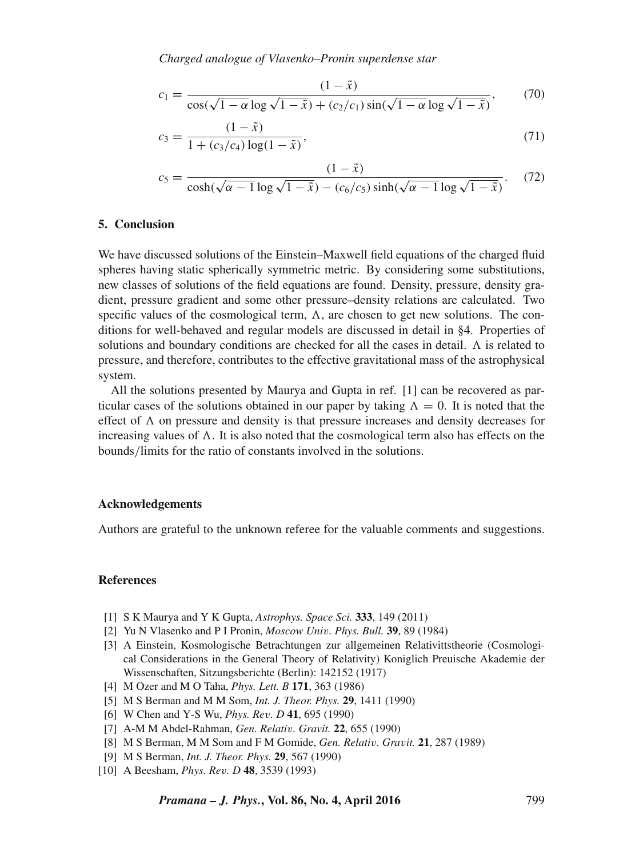$$
c_1 = \frac{(1-\tilde{x})}{\cos(\sqrt{1-\alpha}\log\sqrt{1-\tilde{x}}) + (c_2/c_1)\sin(\sqrt{1-\alpha}\log\sqrt{1-\tilde{x}})},\qquad(70)
$$

$$
c_3 = \frac{(1 - \tilde{x})}{1 + (c_3/c_4) \log(1 - \tilde{x})},\tag{71}
$$

$$
c_5 = \frac{(1-\tilde{x})}{\cosh(\sqrt{\alpha-1}\log\sqrt{1-\tilde{x}}) - (c_6/c_5)\sinh(\sqrt{\alpha-1}\log\sqrt{1-\tilde{x}})}. (72)
$$

#### **5. Conclusion**

We have discussed solutions of the Einstein–Maxwell field equations of the charged fluid spheres having static spherically symmetric metric. By considering some substitutions, new classes of solutions of the field equations are found. Density, pressure, density gradient, pressure gradient and some other pressure–density relations are calculated. Two specific values of the cosmological term,  $\Lambda$ , are chosen to get new solutions. The conditions for well-behaved and regular models are discussed in detail in §4. Properties of solutions and boundary conditions are checked for all the cases in detail.  $\Lambda$  is related to pressure, and therefore, contributes to the effective gravitational mass of the astrophysical system.

All the solutions presented by Maurya and Gupta in ref. [1] can be recovered as particular cases of the solutions obtained in our paper by taking  $\Lambda = 0$ . It is noted that the effect of  $\Lambda$  on pressure and density is that pressure increases and density decreases for increasing values of  $\Lambda$ . It is also noted that the cosmological term also has effects on the bounds/limits for the ratio of constants involved in the solutions.

#### **Acknowledgements**

Authors are grateful to the unknown referee for the valuable comments and suggestions.

#### **References**

- [1] S K Maurya and Y K Gupta, *Astrophys. Space Sci.* **333**, 149 (2011)
- [2] Yu N Vlasenko and P I Pronin, *Moscow Uni*v*. Phys. Bull.* **39**, 89 (1984)
- [3] A Einstein, Kosmologische Betrachtungen zur allgemeinen Relativittstheorie (Cosmological Considerations in the General Theory of Relativity) Koniglich Preuische Akademie der Wissenschaften, Sitzungsberichte (Berlin): 142152 (1917)
- [4] M Ozer and M O Taha, *Phys. Lett. B* **171**, 363 (1986)
- [5] M S Berman and M M Som, *Int. J. Theor. Phys.* **29**, 1411 (1990)
- [6] W Chen and Y-S Wu, *Phys. Re*v*. D* **41**, 695 (1990)
- [7] A-M M Abdel-Rahman, *Gen. Relati*v*. Gravit.* **22**, 655 (1990)
- [8] M S Berman, M M Som and F M Gomide, *Gen. Relati*v*. Gra*v*it.* **21**, 287 (1989)
- [9] M S Berman, *Int. J. Theor. Phys.* **29**, 567 (1990)
- [10] A Beesham, *Phys. Re*v*. D* **48**, 3539 (1993)